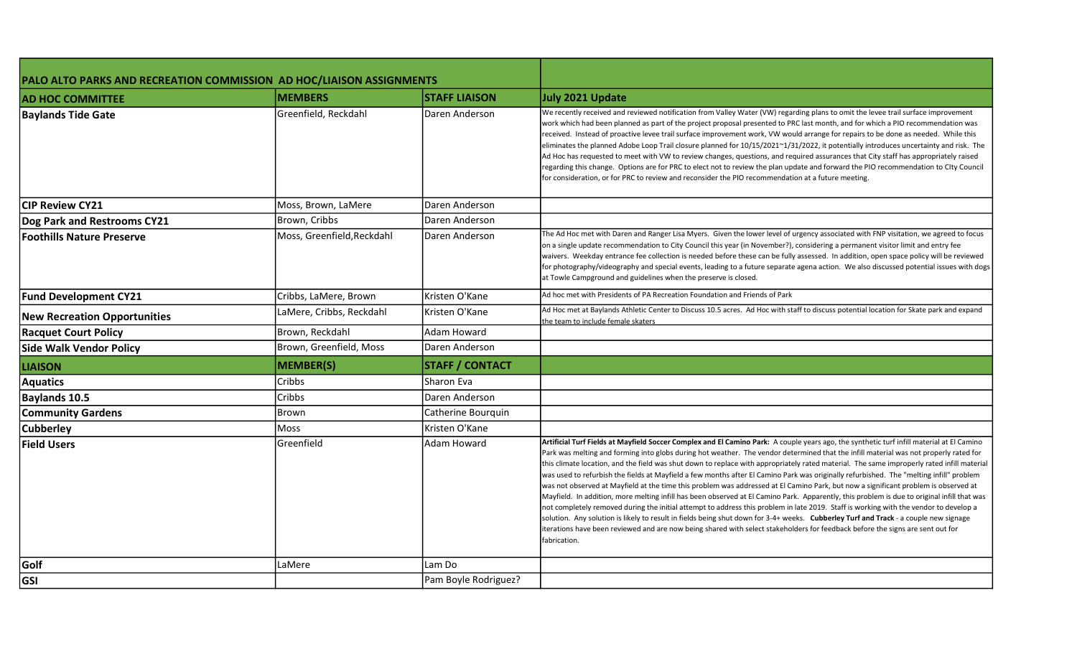| PALO ALTO PARKS AND RECREATION COMMISSION AD HOC/LIAISON ASSIGNMENTS |                            |                        |                                                                                                                                                                                                                                                                                                                                                                                                                                                                                                                                                                                                                                                                                                                                                                                                                                                                                                                                                                                                                                                                                                                                                                                                                                                                                                      |
|----------------------------------------------------------------------|----------------------------|------------------------|------------------------------------------------------------------------------------------------------------------------------------------------------------------------------------------------------------------------------------------------------------------------------------------------------------------------------------------------------------------------------------------------------------------------------------------------------------------------------------------------------------------------------------------------------------------------------------------------------------------------------------------------------------------------------------------------------------------------------------------------------------------------------------------------------------------------------------------------------------------------------------------------------------------------------------------------------------------------------------------------------------------------------------------------------------------------------------------------------------------------------------------------------------------------------------------------------------------------------------------------------------------------------------------------------|
| <b>AD HOC COMMITTEE</b>                                              | <b>MEMBERS</b>             | <b>STAFF LIAISON</b>   | July 2021 Update                                                                                                                                                                                                                                                                                                                                                                                                                                                                                                                                                                                                                                                                                                                                                                                                                                                                                                                                                                                                                                                                                                                                                                                                                                                                                     |
| <b>Baylands Tide Gate</b>                                            | Greenfield, Reckdahl       | Daren Anderson         | We recently received and reviewed notification from Valley Water (VW) regarding plans to omit the levee trail surface improvement<br>work which had been planned as part of the project proposal presented to PRC last month, and for which a PIO recommendation was<br>received. Instead of proactive levee trail surface improvement work, VW would arrange for repairs to be done as needed. While this<br>eliminates the planned Adobe Loop Trail closure planned for 10/15/2021~1/31/2022, it potentially introduces uncertainty and risk. The<br>Ad Hoc has requested to meet with VW to review changes, questions, and required assurances that City staff has appropriately raised<br>regarding this change. Options are for PRC to elect not to review the plan update and forward the PIO recommendation to CIty Council<br>for consideration, or for PRC to review and reconsider the PIO recommendation at a future meeting.                                                                                                                                                                                                                                                                                                                                                             |
| <b>CIP Review CY21</b>                                               | Moss, Brown, LaMere        | Daren Anderson         |                                                                                                                                                                                                                                                                                                                                                                                                                                                                                                                                                                                                                                                                                                                                                                                                                                                                                                                                                                                                                                                                                                                                                                                                                                                                                                      |
| <b>Dog Park and Restrooms CY21</b>                                   | Brown, Cribbs              | Daren Anderson         |                                                                                                                                                                                                                                                                                                                                                                                                                                                                                                                                                                                                                                                                                                                                                                                                                                                                                                                                                                                                                                                                                                                                                                                                                                                                                                      |
| <b>Foothills Nature Preserve</b>                                     | Moss, Greenfield, Reckdahl | Daren Anderson         | The Ad Hoc met with Daren and Ranger Lisa Myers. Given the lower level of urgency associated with FNP visitation, we agreed to focus<br>on a single update recommendation to City Council this year (in November?), considering a permanent visitor limit and entry fee<br>waivers. Weekday entrance fee collection is needed before these can be fully assessed. In addition, open space policy will be reviewed<br>for photography/videography and special events, leading to a future separate agena action. We also discussed potential issues with dogs<br>at Towle Campground and guidelines when the preserve is closed.                                                                                                                                                                                                                                                                                                                                                                                                                                                                                                                                                                                                                                                                      |
| <b>Fund Development CY21</b>                                         | Cribbs, LaMere, Brown      | Kristen O'Kane         | Ad hoc met with Presidents of PA Recreation Foundation and Friends of Park                                                                                                                                                                                                                                                                                                                                                                                                                                                                                                                                                                                                                                                                                                                                                                                                                                                                                                                                                                                                                                                                                                                                                                                                                           |
| <b>New Recreation Opportunities</b>                                  | LaMere, Cribbs, Reckdahl   | Kristen O'Kane         | Ad Hoc met at Baylands Athletic Center to Discuss 10.5 acres. Ad Hoc with staff to discuss potential location for Skate park and expand<br>the team to include female skaters                                                                                                                                                                                                                                                                                                                                                                                                                                                                                                                                                                                                                                                                                                                                                                                                                                                                                                                                                                                                                                                                                                                        |
| <b>Racquet Court Policy</b>                                          | Brown, Reckdahl            | Adam Howard            |                                                                                                                                                                                                                                                                                                                                                                                                                                                                                                                                                                                                                                                                                                                                                                                                                                                                                                                                                                                                                                                                                                                                                                                                                                                                                                      |
| <b>Side Walk Vendor Policy</b>                                       | Brown, Greenfield, Moss    | Daren Anderson         |                                                                                                                                                                                                                                                                                                                                                                                                                                                                                                                                                                                                                                                                                                                                                                                                                                                                                                                                                                                                                                                                                                                                                                                                                                                                                                      |
| <b>LIAISON</b>                                                       | <b>MEMBER(S)</b>           | <b>STAFF / CONTACT</b> |                                                                                                                                                                                                                                                                                                                                                                                                                                                                                                                                                                                                                                                                                                                                                                                                                                                                                                                                                                                                                                                                                                                                                                                                                                                                                                      |
| <b>Aquatics</b>                                                      | Cribbs                     | <b>Sharon Eva</b>      |                                                                                                                                                                                                                                                                                                                                                                                                                                                                                                                                                                                                                                                                                                                                                                                                                                                                                                                                                                                                                                                                                                                                                                                                                                                                                                      |
| <b>Baylands 10.5</b>                                                 | Cribbs                     | Daren Anderson         |                                                                                                                                                                                                                                                                                                                                                                                                                                                                                                                                                                                                                                                                                                                                                                                                                                                                                                                                                                                                                                                                                                                                                                                                                                                                                                      |
| <b>Community Gardens</b>                                             | Brown                      | Catherine Bourquin     |                                                                                                                                                                                                                                                                                                                                                                                                                                                                                                                                                                                                                                                                                                                                                                                                                                                                                                                                                                                                                                                                                                                                                                                                                                                                                                      |
| <b>Cubberley</b>                                                     | Moss                       | Kristen O'Kane         |                                                                                                                                                                                                                                                                                                                                                                                                                                                                                                                                                                                                                                                                                                                                                                                                                                                                                                                                                                                                                                                                                                                                                                                                                                                                                                      |
| <b>Field Users</b>                                                   | Greenfield                 | Adam Howard            | Artificial Turf Fields at Mayfield Soccer Complex and El Camino Park: A couple years ago, the synthetic turf infill material at El Camino<br>Park was melting and forming into globs during hot weather. The vendor determined that the infill material was not properly rated for<br>this climate location, and the field was shut down to replace with appropriately rated material. The same improperly rated infill material<br>was used to refurbish the fields at Mayfield a few months after El Camino Park was originally refurbished. The "melting infill" problem<br>was not observed at Mayfield at the time this problem was addressed at El Camino Park, but now a significant problem is observed at<br>Mayfield. In addition, more melting infill has been observed at El Camino Park. Apparently, this problem is due to original infill that was<br>not completely removed during the initial attempt to address this problem in late 2019. Staff is working with the vendor to develop a<br>solution. Any solution is likely to result in fields being shut down for 3-4+ weeks. Cubberley Turf and Track - a couple new signage<br>iterations have been reviewed and are now being shared with select stakeholders for feedback before the signs are sent out for<br>fabrication. |
| Golf                                                                 | LaMere                     | Lam Do                 |                                                                                                                                                                                                                                                                                                                                                                                                                                                                                                                                                                                                                                                                                                                                                                                                                                                                                                                                                                                                                                                                                                                                                                                                                                                                                                      |
| GSI                                                                  |                            | Pam Boyle Rodriguez?   |                                                                                                                                                                                                                                                                                                                                                                                                                                                                                                                                                                                                                                                                                                                                                                                                                                                                                                                                                                                                                                                                                                                                                                                                                                                                                                      |